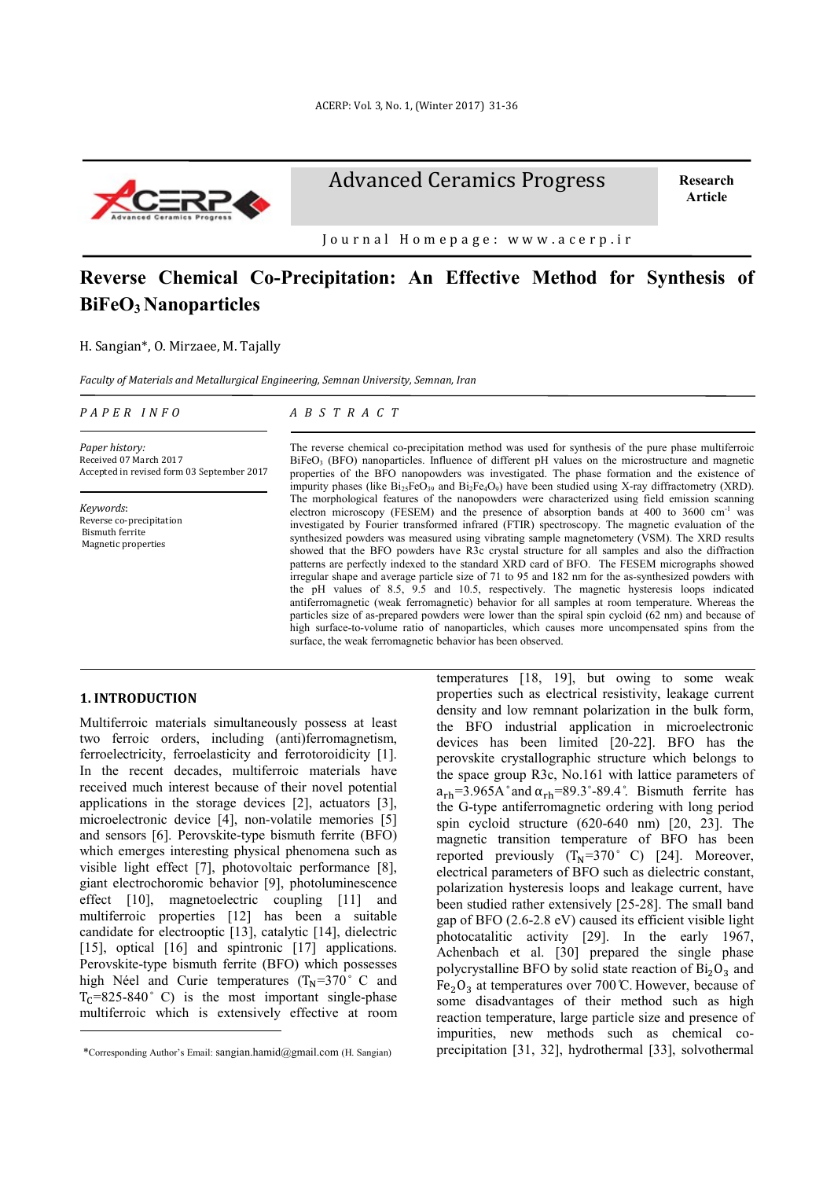

Advanced Ceramics Progress

**Research Article**

Journal Homepage: www.acerp.ir

# **Reverse Chemical Co-Precipitation: An Effective Method for Synthesis of BiFeO3 Nanoparticles**

H. Sangian\*, O. Mirzaee, M. Tajally

*Faculty of Materials and Metallurgical Engineering, Semnan University, Semnan, Iran*

| PAPER INFO |  |  |
|------------|--|--|
|            |  |  |

*A B S T R A C T*

*Paper history:* Received 07 March 2017 Accepted in revised form 03 September 2017

*Keywords*: Reverse co-precipitation Bismuth ferrite Magnetic properties

The reverse chemical co-precipitation method was used for synthesis of the pure phase multiferroic BiFeO<sub>3</sub> (BFO) nanoparticles. Influence of different pH values on the microstructure and magnetic properties of the BFO nanopowders was investigated. The phase formation and the existence of impurity phases (like  $Bi<sub>25</sub>FeO<sub>39</sub>$  and  $Bi<sub>2</sub>FeO<sub>9</sub>$ ) have been studied using X-ray diffractometry (XRD). The morphological features of the nanopowders were characterized using field emission scanning electron microscopy (FESEM) and the presence of absorption bands at 400 to 3600 cm<sup>-1</sup> was investigated by Fourier transformed infrared (FTIR) spectroscopy. The magnetic evaluation of the synthesized powders was measured using vibrating sample magnetometery (VSM). The XRD results showed that the BFO powders have R3c crystal structure for all samples and also the diffraction patterns are perfectly indexed to the standard XRD card of BFO. The FESEM micrographs showed irregular shape and average particle size of 71 to 95 and 182 nm for the as-synthesized powders with the pH values of 8.5, 9.5 and 10.5, respectively. The magnetic hysteresis loops indicated antiferromagnetic (weak ferromagnetic) behavior for all samples at room temperature. Whereas the particles size of as-prepared powders were lower than the spiral spin cycloid (62 nm) and because of high surface-to-volume ratio of nanoparticles, which causes more uncompensated spins from the surface, the weak ferromagnetic behavior has been observed.

## **1. INTRODUCTION1**

-

Multiferroic materials simultaneously possess at least two ferroic orders, including (anti)ferromagnetism, ferroelectricity, ferroelasticity and ferrotoroidicity [1]. In the recent decades, multiferroic materials have received much interest because of their novel potential applications in the storage devices [2], actuators [3], microelectronic device [4], non-volatile memories [5] and sensors [6]. Perovskite-type bismuth ferrite (BFO) which emerges interesting physical phenomena such as visible light effect [7], photovoltaic performance [8], giant electrochoromic behavior [9], photoluminescence effect [10], magnetoelectric coupling [11] and multiferroic properties [12] has been a suitable candidate for electrooptic [13], catalytic [14], dielectric [15], optical [16] and spintronic [17] applications. Perovskite-type bismuth ferrite (BFO) which possesses high Néel and Curie temperatures  $(T_N=370^\circ \text{ C and}$  $T_c$ =825-840° C) is the most important single-phase multiferroic which is extensively effective at room temperatures [18, 19], but owing to some weak properties such as electrical resistivity, leakage current density and low remnant polarization in the bulk form, the BFO industrial application in microelectronic devices has been limited [20-22]. BFO has the perovskite crystallographic structure which belongs to the space group R3c, No.161 with lattice parameters of  $a_{rh} = 3.965$ A° and  $\alpha_{rh} = 89.3°-89.4°$ . Bismuth ferrite has the G-type antiferromagnetic ordering with long period spin cycloid structure (620-640 nm) [20, 23]. The magnetic transition temperature of BFO has been reported previously  $(T_N=370^\circ \text{ C})$  [24]. Moreover, electrical parameters of BFO such as dielectric constant, polarization hysteresis loops and leakage current, have been studied rather extensively [25-28]. The small band gap of BFO (2.6-2.8 eV) caused its efficient visible light photocatalitic activity [29]. In the early 1967, Achenbach et al. [30] prepared the single phase polycrystalline BFO by solid state reaction of  $Bi<sub>2</sub>O<sub>3</sub>$  and Fe<sub>2</sub>O<sub>3</sub> at temperatures over 700 °C. However, because of some disadvantages of their method such as high reaction temperature, large particle size and presence of impurities, new methods such as chemical coprecipitation [31, 32], hydrothermal [33], solvothermal

<sup>1</sup> \*Corresponding Author's Email: sangian.hamid@gmail.com (H. Sangian)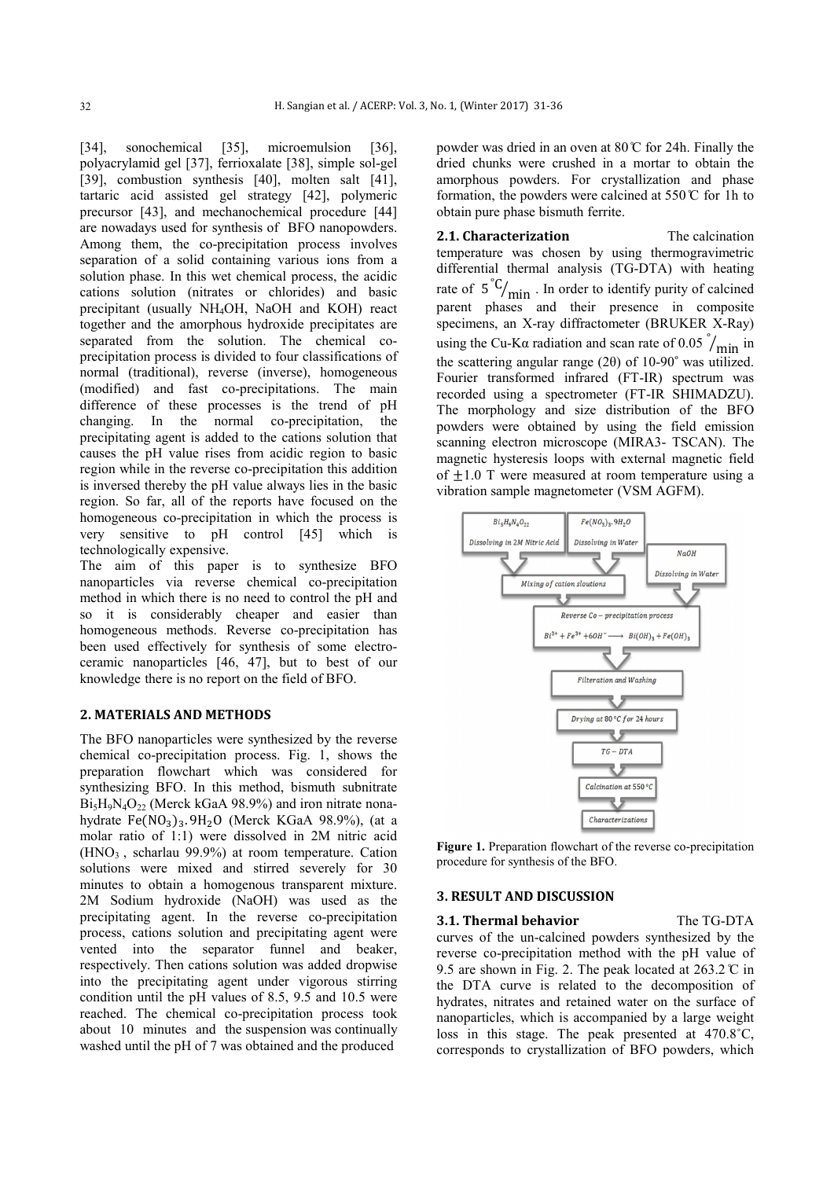[34], sonochemical [35], microemulsion [36], polyacrylamid gel [37], ferrioxalate [38], simple sol-gel [39], combustion synthesis [40], molten salt [41], tartaric acid assisted gel strategy [42], polymeric precursor [43], and mechanochemical procedure [44] are nowadays used for synthesis of BFO nanopowders. Among them, the co-precipitation process involves separation of a solid containing various ions from a solution phase. In this wet chemical process, the acidic cations solution (nitrates or chlorides) and basic precipitant (usually NH4OH, NaOH and KOH) react together and the amorphous hydroxide precipitates are separated from the solution. The chemical coprecipitation process is divided to four classifications of normal (traditional), reverse (inverse), homogeneous (modified) and fast co-precipitations. The main difference of these processes is the trend of pH changing. In the normal co-precipitation, the precipitating agent is added to the cations solution that causes the pH value rises from acidic region to basic region while in the reverse co-precipitation this addition is inversed thereby the pH value always lies in the basic region. So far, all of the reports have focused on the homogeneous co-precipitation in which the process is very sensitive to pH control [45] which is technologically expensive.

The aim of this paper is to synthesize BFO nanoparticles via reverse chemical co-precipitation method in which there is no need to control the pH and so it is considerably cheaper and easier than homogeneous methods. Reverse co-precipitation has been used effectively for synthesis of some electroceramic nanoparticles [46, 47], but to best of our knowledge there is no report on the field of BFO.

# **2. MATERIALS AND METHODS**

The BFO nanoparticles were synthesized by the reverse chemical co-precipitation process. Fig. 1, shows the preparation flowchart which was considered for synthesizing BFO. In this method, bismuth subnitrate  $Bi_5H_9N_4O_{22}$  (Merck kGaA 98.9%) and iron nitrate nonahydrate Fe $(NO<sub>3</sub>)<sub>3</sub>$ . 9H<sub>2</sub>O (Merck KGaA 98.9%), (at a molar ratio of 1:1) were dissolved in 2M nitric acid  $(HNO<sub>3</sub>$ , scharlau 99.9%) at room temperature. Cation solutions were mixed and stirred severely for 30 minutes to obtain a homogenous transparent mixture. 2M Sodium hydroxide (NaOH) was used as the precipitating agent. In the reverse co-precipitation process, cations solution and precipitating agent were vented into the separator funnel and beaker, respectively. Then cations solution was added dropwise into the precipitating agent under vigorous stirring condition until the pH values of 8.5, 9.5 and 10.5 were reached. The chemical co-precipitation process took about 10 minutes and the suspension was continually washed until the pH of 7 was obtained and the produced

powder was dried in an oven at  $80^{\circ}$  for 24h. Finally the dried chunks were crushed in a mortar to obtain the amorphous powders. For crystallization and phase formation, the powders were calcined at  $550^{\circ}$  for 1h to obtain pure phase bismuth ferrite.

**2.1. Characterization** The calcination temperature was chosen by using thermogravimetric differential thermal analysis (TG-DTA) with heating rate of  $5^{\degree}C/_{\text{min}}$ . In order to identify purity of calcined parent phases and their presence in composite specimens, an X-ray diffractometer (BRUKER X-Ray) using the Cu-K $\alpha$  radiation and scan rate of 0.05  $\gamma_{\text{min}}$  in the scattering angular range  $(2\theta)$  of 10-90 $\degree$  was utilized. Fourier transformed infrared (FT-IR) spectrum was recorded using a spectrometer (FT-IR SHIMADZU). The morphology and size distribution of the BFO powders were obtained by using the field emission scanning electron microscope (MIRA3- TSCAN). The magnetic hysteresis loops with external magnetic field of  $\pm 1.0$  T were measured at room temperature using a vibration sample magnetometer (VSM AGFM).



**Figure 1.** Preparation flowchart of the reverse co-precipitation procedure for synthesis of the BFO.

## **3. RESULT AND DISCUSSION**

**3.1. Thermal behavior** The TG-DTA curves of the un-calcined powders synthesized by the reverse co-precipitation method with the pH value of 9.5 are shown in Fig. 2. The peak located at  $263.2 \text{ °C}$  in the DTA curve is related to the decomposition of hydrates, nitrates and retained water on the surface of nanoparticles, which is accompanied by a large weight loss in this stage. The peak presented at 470.8˚C, corresponds to crystallization of BFO powders, which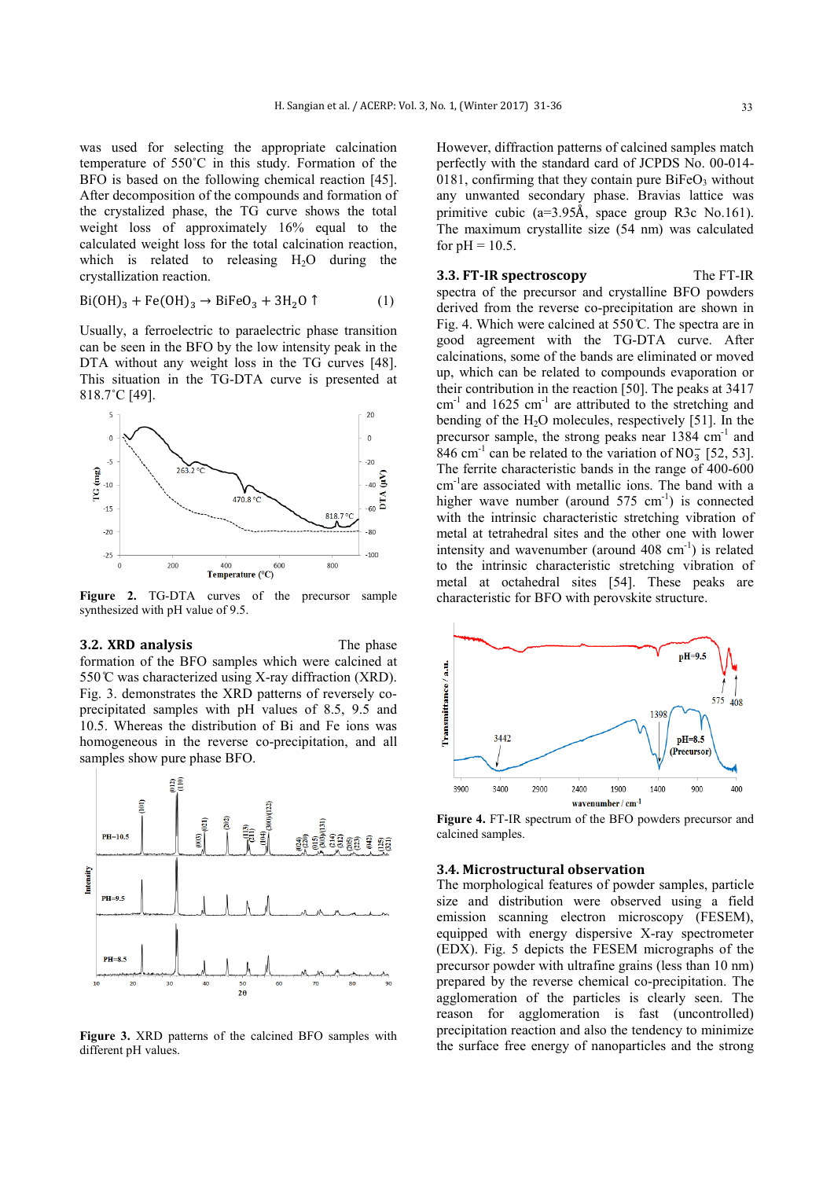was used for selecting the appropriate calcination temperature of 550˚C in this study. Formation of the BFO is based on the following chemical reaction [45]. After decomposition of the compounds and formation of the crystalized phase, the TG curve shows the total weight loss of approximately 16% equal to the calculated weight loss for the total calcination reaction, which is related to releasing  $H<sub>2</sub>O$  during the crystallization reaction.

$$
Bi(OH)3 + Fe(OH)3 \rightarrow BifeO3 + 3H2O \uparrow
$$
 (1)

Usually, a ferroelectric to paraelectric phase transition can be seen in the BFO by the low intensity peak in the DTA without any weight loss in the TG curves [48]. This situation in the TG-DTA curve is presented at 818.7˚C [49].



**Figure 2.** TG-DTA curves of the precursor sample synthesized with pH value of 9.5.

**3.2. XRD analysis** The phase formation of the BFO samples which were calcined at 550 ℃ was characterized using X-ray diffraction (XRD). Fig. 3. demonstrates the XRD patterns of reversely coprecipitated samples with pH values of 8.5, 9.5 and 10.5. Whereas the distribution of Bi and Fe ions was homogeneous in the reverse co-precipitation, and all samples show pure phase BFO.



**Figure 3.** XRD patterns of the calcined BFO samples with different pH values.

However, diffraction patterns of calcined samples match perfectly with the standard card of JCPDS No. 00-014- 0181, confirming that they contain pure  $BiFeO<sub>3</sub>$  without any unwanted secondary phase. Bravias lattice was primitive cubic (a=3.95Å, space group R3c No.161). The maximum crystallite size (54 nm) was calculated for  $pH = 10.5$ .

**3.3. FT-IR spectroscopy** The FT-IR spectra of the precursor and crystalline BFO powders derived from the reverse co-precipitation are shown in Fig. 4. Which were calcined at  $550^{\circ}$ . The spectra are in good agreement with the TG-DTA curve. After calcinations, some of the bands are eliminated or moved up, which can be related to compounds evaporation or their contribution in the reaction [50]. The peaks at 3417  $cm^{-1}$  and 1625  $cm^{-1}$  are attributed to the stretching and bending of the  $H<sub>2</sub>O$  molecules, respectively [51]. In the precursor sample, the strong peaks near 1384 cm<sup>-1</sup> and  $846$  cm<sup>-1</sup> can be related to the variation of NO<sub>3</sub> [52, 53]. The ferrite characteristic bands in the range of 400-600 cm-1 are associated with metallic ions. The band with a higher wave number (around  $575 \text{ cm}^{-1}$ ) is connected with the intrinsic characteristic stretching vibration of metal at tetrahedral sites and the other one with lower intensity and wavenumber (around  $408 \text{ cm}^{-1}$ ) is related to the intrinsic characteristic stretching vibration of metal at octahedral sites [54]. These peaks are characteristic for BFO with perovskite structure.



**Figure 4.** FT-IR spectrum of the BFO powders precursor and calcined samples.

# **3.4. Microstructural observation**

The morphological features of powder samples, particle size and distribution were observed using a field emission scanning electron microscopy (FESEM), equipped with energy dispersive X-ray spectrometer (EDX). Fig. 5 depicts the FESEM micrographs of the precursor powder with ultrafine grains (less than 10 nm) prepared by the reverse chemical co-precipitation. The agglomeration of the particles is clearly seen. The reason for agglomeration is fast (uncontrolled) precipitation reaction and also the tendency to minimize the surface free energy of nanoparticles and the strong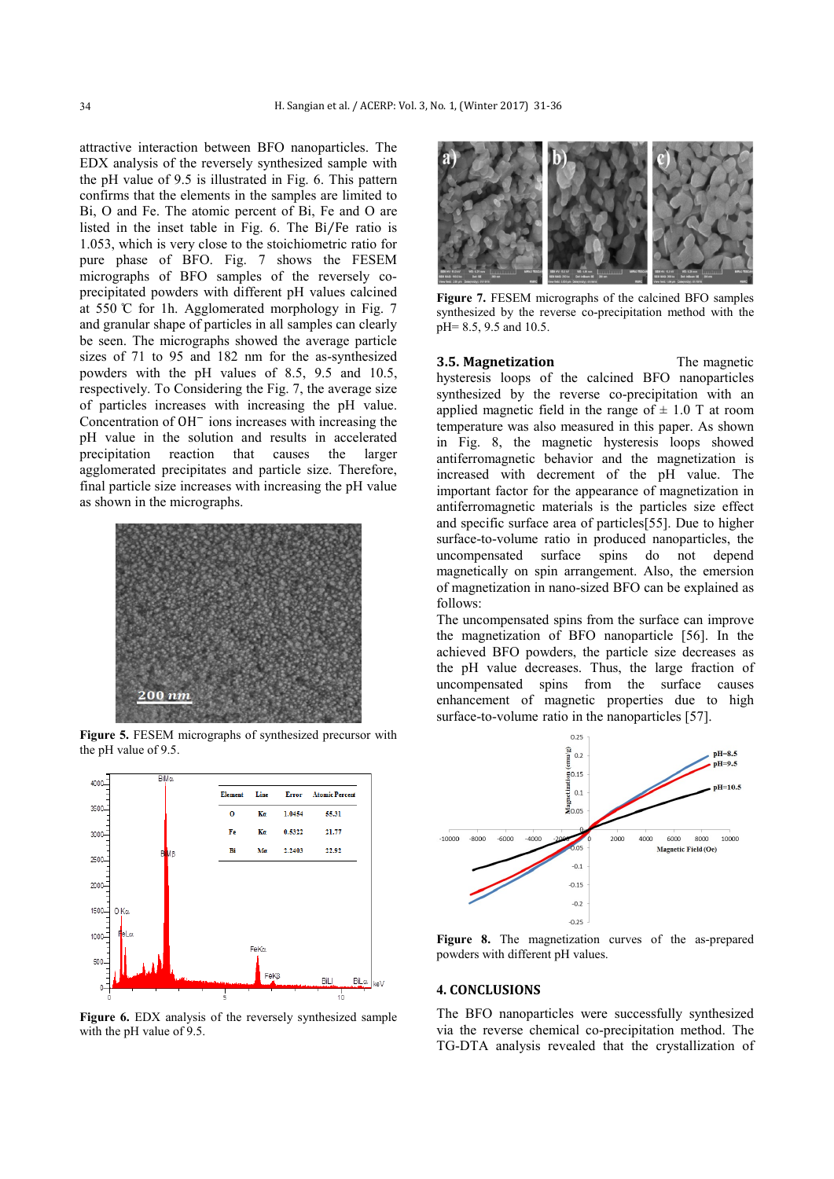attractive interaction between BFO nanoparticles. The EDX analysis of the reversely synthesized sample with the pH value of 9.5 is illustrated in Fig. 6. This pattern confirms that the elements in the samples are limited to Bi, O and Fe. The atomic percent of Bi, Fe and O are listed in the inset table in Fig. 6. The Bi⁄Fe ratio is 1.053, which is very close to the stoichiometric ratio for pure phase of BFO. Fig. 7 shows the FESEM micrographs of BFO samples of the reversely coprecipitated powders with different pH values calcined at 550  $\degree$  C for 1h. Agglomerated morphology in Fig. 7 and granular shape of particles in all samples can clearly be seen. The micrographs showed the average particle sizes of 71 to 95 and 182 nm for the as-synthesized powders with the pH values of 8.5, 9.5 and 10.5, respectively. To Considering the Fig. 7, the average size of particles increases with increasing the pH value. Concentration of  $OH^-$  ions increases with increasing the pH value in the solution and results in accelerated precipitation reaction that causes the larger agglomerated precipitates and particle size. Therefore, final particle size increases with increasing the pH value as shown in the micrographs.



**Figure 5.** FESEM micrographs of synthesized precursor with the pH value of 9.5.



**Figure 6.** EDX analysis of the reversely synthesized sample with the pH value of 9.5.



**Figure 7.** FESEM micrographs of the calcined BFO samples synthesized by the reverse co-precipitation method with the pH= 8.5, 9.5 and 10.5.

**3.5. Magnetization** The magnetic hysteresis loops of the calcined BFO nanoparticles synthesized by the reverse co-precipitation with an applied magnetic field in the range of  $\pm$  1.0 T at room temperature was also measured in this paper. As shown in Fig. 8, the magnetic hysteresis loops showed antiferromagnetic behavior and the magnetization is increased with decrement of the pH value. The important factor for the appearance of magnetization in antiferromagnetic materials is the particles size effect and specific surface area of particles[55]. Due to higher surface-to-volume ratio in produced nanoparticles, the uncompensated surface spins do not depend magnetically on spin arrangement. Also, the emersion of magnetization in nano-sized BFO can be explained as follows:

The uncompensated spins from the surface can improve the magnetization of BFO nanoparticle [56]. In the achieved BFO powders, the particle size decreases as the pH value decreases. Thus, the large fraction of uncompensated spins from the surface causes enhancement of magnetic properties due to high surface-to-volume ratio in the nanoparticles [57].



**Figure 8.** The magnetization curves of the as-prepared powders with different pH values.

# **4. CONCLUSIONS**

The BFO nanoparticles were successfully synthesized via the reverse chemical co-precipitation method. The TG-DTA analysis revealed that the crystallization of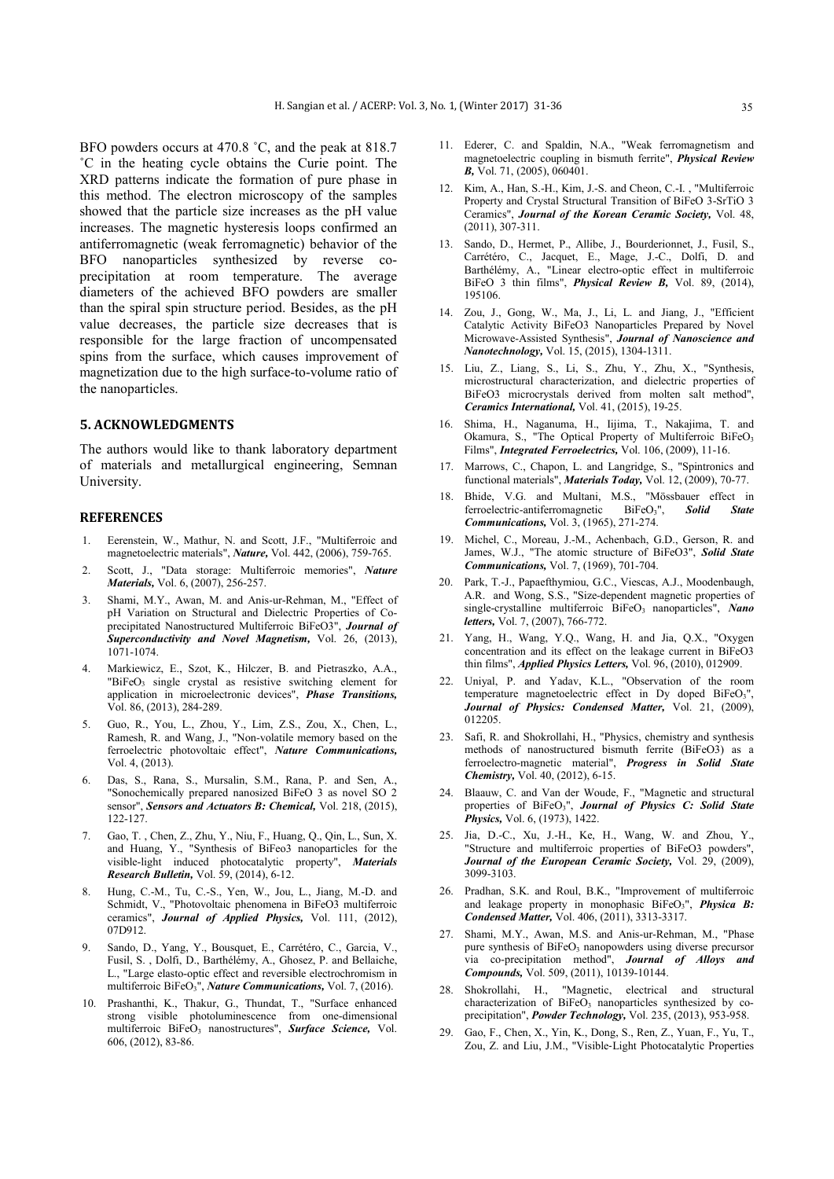BFO powders occurs at 470.8 ˚C, and the peak at 818.7 ˚C in the heating cycle obtains the Curie point. The XRD patterns indicate the formation of pure phase in this method. The electron microscopy of the samples showed that the particle size increases as the pH value increases. The magnetic hysteresis loops confirmed an antiferromagnetic (weak ferromagnetic) behavior of the BFO nanoparticles synthesized by reverse coprecipitation at room temperature. The average diameters of the achieved BFO powders are smaller than the spiral spin structure period. Besides, as the pH value decreases, the particle size decreases that is responsible for the large fraction of uncompensated spins from the surface, which causes improvement of magnetization due to the high surface-to-volume ratio of the nanoparticles.

# **5. ACKNOWLEDGMENTS**

The authors would like to thank laboratory department of materials and metallurgical engineering, Semnan University.

#### **REFERENCES**

- 1. Eerenstein, W., Mathur, N. and Scott, J.F., "Multiferroic and magnetoelectric materials", *Nature,* Vol. 442, (2006), 759-765.
- 2. Scott, J., "Data storage: Multiferroic memories", *Nature Materials,* Vol. 6, (2007), 256-257.
- 3. Shami, M.Y., Awan, M. and Anis-ur-Rehman, M., "Effect of pH Variation on Structural and Dielectric Properties of Coprecipitated Nanostructured Multiferroic BiFeO3", *Journal of Superconductivity and Novel Magnetism,* Vol. 26, (2013), 1071-1074.
- 4. Markiewicz, E., Szot, K., Hilczer, B. and Pietraszko, A.A., "BiFeO<sub>3</sub> single crystal as resistive switching element for application in microelectronic devices", *Phase Transitions,* Vol. 86, (2013), 284-289.
- 5. Guo, R., You, L., Zhou, Y., Lim, Z.S., Zou, X., Chen, L., Ramesh, R. and Wang, J., "Non-volatile memory based on the ferroelectric photovoltaic effect", *Nature Communications,* Vol. 4, (2013).
- 6. Das, S., Rana, S., Mursalin, S.M., Rana, P. and Sen, A., "Sonochemically prepared nanosized BiFeO 3 as novel SO 2 sensor", *Sensors and Actuators B: Chemical,* Vol. 218, (2015), 122-127.
- 7. Gao, T. , Chen, Z., Zhu, Y., Niu, F., Huang, Q., Qin, L., Sun, X. and Huang, Y., "Synthesis of BiFeo3 nanoparticles for the visible-light induced photocatalytic property", *Materials Research Bulletin,* Vol. 59, (2014), 6-12.
- 8. Hung, C.-M., Tu, C.-S., Yen, W., Jou, L., Jiang, M.-D. and Schmidt, V., "Photovoltaic phenomena in BiFeO3 multiferroic ceramics", *Journal of Applied Physics,* Vol. 111, (2012), 07D912.
- 9. Sando, D., Yang, Y., Bousquet, E., Carrétéro, C., Garcia, V., Fusil, S. , Dolfi, D., Barthélémy, A., Ghosez, P. and Bellaiche, L., "Large elasto-optic effect and reversible electrochromism in multiferroic BiFeO3", *Nature Communications,* Vol. 7, (2016).
- 10. Prashanthi, K., Thakur, G., Thundat, T., "Surface enhanced strong visible photoluminescence from one-dimensional multiferroic BiFeO<sub>3</sub> nanostructures", Surface Science, Vol. 606, (2012), 83-86.
- 11. Ederer, C. and Spaldin, N.A., "Weak ferromagnetism and magnetoelectric coupling in bismuth ferrite", *Physical Review B,* Vol. 71, (2005), 060401.
- 12. Kim, A., Han, S.-H., Kim, J.-S. and Cheon, C.-I. , "Multiferroic Property and Crystal Structural Transition of BiFeO 3-SrTiO 3 Ceramics", *Journal of the Korean Ceramic Society,* Vol. 48, (2011), 307-311.
- 13. Sando, D., Hermet, P., Allibe, J., Bourderionnet, J., Fusil, S., Carrétéro, C., Jacquet, E., Mage, J.-C., Dolfi, D. and Barthélémy, A., "Linear electro-optic effect in multiferroic BiFeO 3 thin films", *Physical Review B,* Vol. 89, (2014), 195106.
- 14. Zou, J., Gong, W., Ma, J., Li, L. and Jiang, J., "Efficient Catalytic Activity BiFeO3 Nanoparticles Prepared by Novel Microwave-Assisted Synthesis", *Journal of Nanoscience and Nanotechnology,* Vol. 15, (2015), 1304-1311.
- 15. Liu, Z., Liang, S., Li, S., Zhu, Y., Zhu, X., "Synthesis, microstructural characterization, and dielectric properties of BiFeO3 microcrystals derived from molten salt method", *Ceramics International,* Vol. 41, (2015), 19-25.
- 16. Shima, H., Naganuma, H., Iijima, T., Nakajima, T. and Okamura, S., "The Optical Property of Multiferroic BiFeO3 Films", *Integrated Ferroelectrics,* Vol. 106, (2009), 11-16.
- 17. Marrows, C., Chapon, L. and Langridge, S., "Spintronics and functional materials", *Materials Today,* Vol. 12, (2009), 70-77.
- 18. Bhide, V.G. and Multani, M.S., "Mössbauer effect in ferroelectric-antiferromagnetic BiFeO3", *Solid State Communications,* Vol. 3, (1965), 271-274.
- 19. Michel, C., Moreau, J.-M., Achenbach, G.D., Gerson, R. and James, W.J., "The atomic structure of BiFeO3", *Solid State Communications,* Vol. 7, (1969), 701-704.
- 20. Park, T.-J., Papaefthymiou, G.C., Viescas, A.J., Moodenbaugh, A.R. and Wong, S.S., "Size-dependent magnetic properties of single-crystalline multiferroic BiFeO<sub>3</sub> nanoparticles", *Nano letters,* Vol. 7, (2007), 766-772.
- 21. Yang, H., Wang, Y.Q., Wang, H. and Jia, Q.X., "Oxygen concentration and its effect on the leakage current in BiFeO3 thin films", *Applied Physics Letters,* Vol. 96, (2010), 012909.
- 22. Uniyal, P. and Yadav, K.L., "Observation of the room temperature magnetoelectric effect in Dy doped BiFeO3", *Journal of Physics: Condensed Matter,* Vol. 21, (2009), 012205.
- 23. Safi, R. and Shokrollahi, H., "Physics, chemistry and synthesis methods of nanostructured bismuth ferrite (BiFeO3) as a ferroelectro-magnetic material", *Progress in Solid State Chemistry,* Vol. 40, (2012), 6-15.
- 24. Blaauw, C. and Van der Woude, F., "Magnetic and structural properties of BiFeO3", *Journal of Physics C: Solid State Physics,* Vol. 6, (1973), 1422.
- 25. Jia, D.-C., Xu, J.-H., Ke, H., Wang, W. and Zhou, Y., "Structure and multiferroic properties of BiFeO3 powders", *Journal of the European Ceramic Society,* Vol. 29, (2009), 3099-3103.
- 26. Pradhan, S.K. and Roul, B.K., "Improvement of multiferroic and leakage property in monophasic BiFeO3", *Physica B: Condensed Matter,* Vol. 406, (2011), 3313-3317.
- 27. Shami, M.Y., Awan, M.S. and Anis-ur-Rehman, M., "Phase pure synthesis of  $BiFeO<sub>3</sub>$  nanopowders using diverse precursor via co-precipitation method", *Journal of Alloys and Compounds,* Vol. 509, (2011), 10139-10144.
- 28. Shokrollahi, H., "Magnetic, electrical and structural characterization of  $BiFeO<sub>3</sub>$  nanoparticles synthesized by coprecipitation", *Powder Technology,* Vol. 235, (2013), 953-958.
- 29. Gao, F., Chen, X., Yin, K., Dong, S., Ren, Z., Yuan, F., Yu, T., Zou, Z. and Liu, J.M., "Visible‐Light Photocatalytic Properties